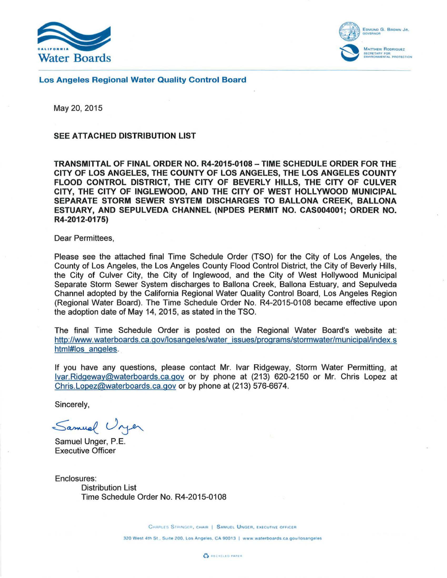



Los Angeles Regional Water Quality Control Board

May 20, 2015

## SEE ATTACHED DISTRIBUTION LIST

TRANSMITTAL OF FINAL ORDER NO. R4-2015-0108- TIME SCHEDULE ORDER FOR THE CITY OF LOS ANGELES, THE COUNTY OF LOS ANGELES, THE LOS ANGELES COUNTY FLOOD CONTROL DISTRICT, THE CITY OF BEVERLY HILLS, THE CITY OF CULVER CITY, THE CITY OF INGLEWOOD, AND THE CITY OF WEST HOLLYWOOD MUNICIPAL SEPARATE STORM SEWER SYSTEM DISCHARGES TO BALLONA CREEK, BALLONA ESTUARY, AND SEPULVEDA CHANNEL (NPDES PERMIT NO. CAS004001; ORDER NO. R4-2012-0175)

Dear Permittees,

Please see the attached final Time Schedule Order (TSO) for the City of Los Angeles, the County of Los Angeles, the Los Angeles County Flood Control District, the City of Beverly Hills, the City of Culver City, the City of Inglewood, and the City of West Hollywood Municipal Separate Storm Sewer System discharges to Ballona Creek, Ballona Estuary, and Sepulveda Channel adopted by the California Regional Water Quality Control Board, Los Angeles Region (Regional Water Board). The Time Schedule Order No. R4-2015-01 08 became effective upon the adoption date of May 14, 2015, as stated in the TSO.

The final Time Schedule Order is posted on the Regional Water Board's website at: [http://www.waterboards.ca.gov/losangeles/water issues/programs/stormwater/municipal/index.s](http://www.waterboards.ca.gov/losangeles/water_issues/programs/stormwater/municipal/index.shtml#los_angeles)  html#los angeles.

If you have any questions, please contact Mr. lvar Ridgeway, Storm Water Permitting, at lvar.Ridgeway@waterboards.ca.gov or by phone at (213) 620-2150 or Mr. Chris Lopez at Chris.Lopez@waterboards.ca.gov or by phone at (213) 576-6674.

Sincerely,

Samuel Unjer

Samuel Unger, P.E. Executive Officer

Enclosures: Distribution List Time Schedule Order No. R4-2015-0108

CHARLES STRINGER, CHAIR | SAMUEL UNGER, EXECUTIVE OFFICER

320 West 4th St., Suite 200, Los Angeles, CA 90013 | www.waterboards.ca.gov/losangeles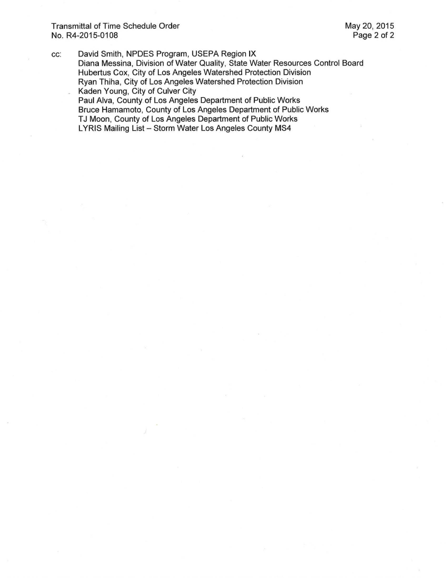Transmittal of Time Schedule Order No. R4-2015-01 08

cc: David Smith, NPDES Program, USEPA Region IX Diana Messina, Division of Water Quality, State Water Resources Control Board Hubertus Cox, City of Los Angeles Watershed Protection Division Ryan Thiha, City of Los Angeles Watershed Protection Division Kaden Young, City of Culver City Paul Alva, County of Los Angeles Department of Public Works Bruce Hamamoto, County of Los Angeles Department of Public Works TJ Moon, County of Los Angeles Department of Public Works LYRIS Mailing List - Storm Water Los Angeles County MS4